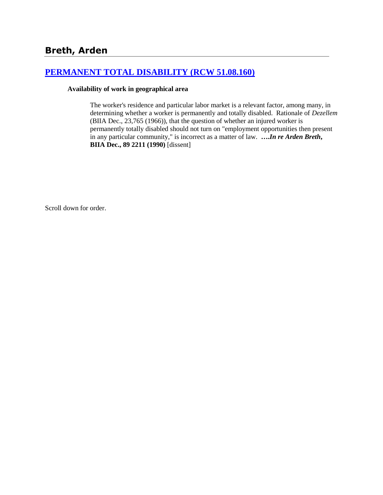# **[PERMANENT TOTAL DISABILITY \(RCW 51.08.160\)](http://www.biia.wa.gov/SDSubjectIndex.html#PERMANENT_TOTAL_DISABILITY)**

#### **Availability of work in geographical area**

The worker's residence and particular labor market is a relevant factor, among many, in determining whether a worker is permanently and totally disabled. Rationale of *Dezellem* (BIIA Dec., 23,765 (1966)), that the question of whether an injured worker is permanently totally disabled should not turn on "employment opportunities then present in any particular community," is incorrect as a matter of law. **….***In re Arden Breth***, BIIA Dec., 89 2211 (1990)** [dissent]

Scroll down for order.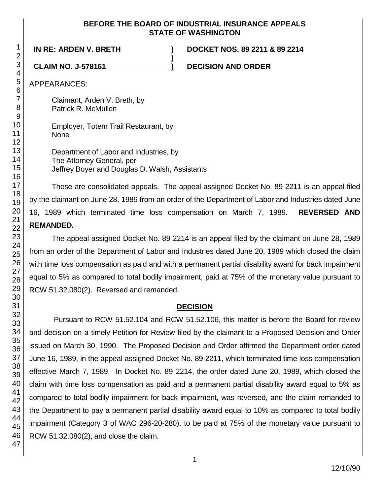#### **BEFORE THE BOARD OF INDUSTRIAL INSURANCE APPEALS STATE OF WASHINGTON**

**)**

**IN RE: ARDEN V. BRETH ) DOCKET NOS. 89 2211 & 89 2214**

**CLAIM NO. J-578161 ) DECISION AND ORDER**

APPEARANCES:

Claimant, Arden V. Breth, by Patrick R. McMullen

Employer, Totem Trail Restaurant, by None

Department of Labor and Industries, by The Attorney General, per Jeffrey Boyer and Douglas D. Walsh, Assistants

These are consolidated appeals. The appeal assigned Docket No. 89 2211 is an appeal filed by the claimant on June 28, 1989 from an order of the Department of Labor and Industries dated June 16, 1989 which terminated time loss compensation on March 7, 1989. **REVERSED AND REMANDED.**

The appeal assigned Docket No. 89 2214 is an appeal filed by the claimant on June 28, 1989 from an order of the Department of Labor and Industries dated June 20, 1989 which closed the claim with time loss compensation as paid and with a permanent partial disability award for back impairment equal to 5% as compared to total bodily impairment, paid at 75% of the monetary value pursuant to RCW 51.32.080(2). Reversed and remanded.

## **DECISION**

Pursuant to RCW 51.52.104 and RCW 51.52.106, this matter is before the Board for review and decision on a timely Petition for Review filed by the claimant to a Proposed Decision and Order issued on March 30, 1990. The Proposed Decision and Order affirmed the Department order dated June 16, 1989, in the appeal assigned Docket No. 89 2211, which terminated time loss compensation effective March 7, 1989. In Docket No. 89 2214, the order dated June 20, 1989, which closed the claim with time loss compensation as paid and a permanent partial disability award equal to 5% as compared to total bodily impairment for back impairment, was reversed, and the claim remanded to the Department to pay a permanent partial disability award equal to 10% as compared to total bodily impairment (Category 3 of WAC 296-20-280), to be paid at 75% of the monetary value pursuant to RCW 51.32.080(2), and close the claim.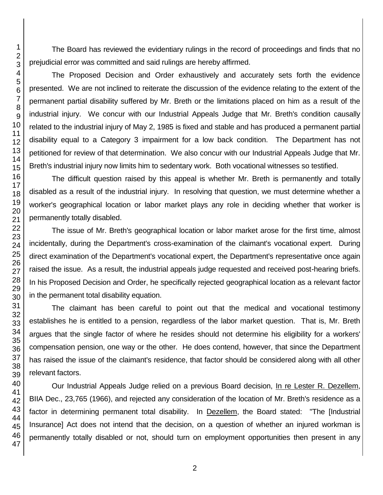The Board has reviewed the evidentiary rulings in the record of proceedings and finds that no prejudicial error was committed and said rulings are hereby affirmed.

The Proposed Decision and Order exhaustively and accurately sets forth the evidence presented. We are not inclined to reiterate the discussion of the evidence relating to the extent of the permanent partial disability suffered by Mr. Breth or the limitations placed on him as a result of the industrial injury. We concur with our Industrial Appeals Judge that Mr. Breth's condition causally related to the industrial injury of May 2, 1985 is fixed and stable and has produced a permanent partial disability equal to a Category 3 impairment for a low back condition. The Department has not petitioned for review of that determination. We also concur with our Industrial Appeals Judge that Mr. Breth's industrial injury now limits him to sedentary work. Both vocational witnesses so testified.

The difficult question raised by this appeal is whether Mr. Breth is permanently and totally disabled as a result of the industrial injury. In resolving that question, we must determine whether a worker's geographical location or labor market plays any role in deciding whether that worker is permanently totally disabled.

The issue of Mr. Breth's geographical location or labor market arose for the first time, almost incidentally, during the Department's cross-examination of the claimant's vocational expert. During direct examination of the Department's vocational expert, the Department's representative once again raised the issue. As a result, the industrial appeals judge requested and received post-hearing briefs. In his Proposed Decision and Order, he specifically rejected geographical location as a relevant factor in the permanent total disability equation.

The claimant has been careful to point out that the medical and vocational testimony establishes he is entitled to a pension, regardless of the labor market question. That is, Mr. Breth argues that the single factor of where he resides should not determine his eligibility for a workers' compensation pension, one way or the other. He does contend, however, that since the Department has raised the issue of the claimant's residence, that factor should be considered along with all other relevant factors.

Our Industrial Appeals Judge relied on a previous Board decision, In re Lester R. Dezellem, BIIA Dec., 23,765 (1966), and rejected any consideration of the location of Mr. Breth's residence as a factor in determining permanent total disability. In Dezellem, the Board stated: "The [Industrial Insurance] Act does not intend that the decision, on a question of whether an injured workman is permanently totally disabled or not, should turn on employment opportunities then present in any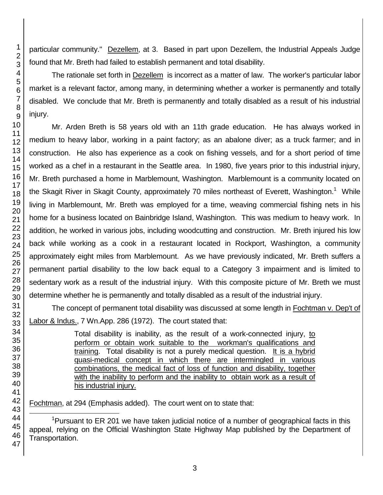particular community." Dezellem, at 3. Based in part upon Dezellem, the Industrial Appeals Judge found that Mr. Breth had failed to establish permanent and total disability.

The rationale set forth in **Dezellem** is incorrect as a matter of law. The worker's particular labor market is a relevant factor, among many, in determining whether a worker is permanently and totally disabled. We conclude that Mr. Breth is permanently and totally disabled as a result of his industrial injury.

Mr. Arden Breth is 58 years old with an 11th grade education. He has always worked in medium to heavy labor, working in a paint factory; as an abalone diver; as a truck farmer; and in construction. He also has experience as a cook on fishing vessels, and for a short period of time worked as a chef in a restaurant in the Seattle area. In 1980, five years prior to this industrial injury, Mr. Breth purchased a home in Marblemount, Washington. Marblemount is a community located on the Skagit River in Skagit County, approximately 70 miles northeast of Everett, Washington.<sup>1</sup> While living in Marblemount, Mr. Breth was employed for a time, weaving commercial fishing nets in his home for a business located on Bainbridge Island, Washington. This was medium to heavy work. In addition, he worked in various jobs, including woodcutting and construction. Mr. Breth injured his low back while working as a cook in a restaurant located in Rockport, Washington, a community approximately eight miles from Marblemount. As we have previously indicated, Mr. Breth suffers a permanent partial disability to the low back equal to a Category 3 impairment and is limited to sedentary work as a result of the industrial injury. With this composite picture of Mr. Breth we must determine whether he is permanently and totally disabled as a result of the industrial injury.

The concept of permanent total disability was discussed at some length in Fochtman v. Dep't of Labor & Indus., 7 Wn.App. 286 (1972). The court stated that:

> Total disability is inability, as the result of a work-connected injury, to perform or obtain work suitable to the workman's qualifications and training. Total disability is not a purely medical question. It is a hybrid quasi-medical concept in which there are intermingled in various combinations, the medical fact of loss of function and disability, together with the inability to perform and the inability to obtain work as a result of his industrial injury.

Fochtman, at 294 (Emphasis added). The court went on to state that:

l <sup>1</sup>Pursuant to ER 201 we have taken judicial notice of a number of geographical facts in this appeal, relying on the Official Washington State Highway Map published by the Department of Transportation.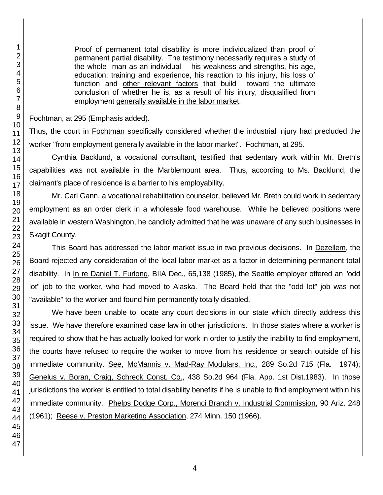Proof of permanent total disability is more individualized than proof of permanent partial disability. The testimony necessarily requires a study of the whole man as an individual -- his weakness and strengths, his age, education, training and experience, his reaction to his injury, his loss of function and other relevant factors that build toward the ultimate conclusion of whether he is, as a result of his injury, disqualified from employment generally available in the labor market.

Fochtman, at 295 (Emphasis added).

Thus, the court in Fochtman specifically considered whether the industrial injury had precluded the worker "from employment generally available in the labor market". Fochtman, at 295.

Cynthia Backlund, a vocational consultant, testified that sedentary work within Mr. Breth's capabilities was not available in the Marblemount area. Thus, according to Ms. Backlund, the claimant's place of residence is a barrier to his employability.

Mr. Carl Gann, a vocational rehabilitation counselor, believed Mr. Breth could work in sedentary employment as an order clerk in a wholesale food warehouse. While he believed positions were available in western Washington, he candidly admitted that he was unaware of any such businesses in Skagit County.

This Board has addressed the labor market issue in two previous decisions. In Dezellem, the Board rejected any consideration of the local labor market as a factor in determining permanent total disability. In In re Daniel T. Furlong, BIIA Dec., 65,138 (1985), the Seattle employer offered an "odd lot" job to the worker, who had moved to Alaska. The Board held that the "odd lot" job was not "available" to the worker and found him permanently totally disabled.

We have been unable to locate any court decisions in our state which directly address this issue. We have therefore examined case law in other jurisdictions. In those states where a worker is required to show that he has actually looked for work in order to justify the inability to find employment, the courts have refused to require the worker to move from his residence or search outside of his immediate community. See, McMannis v. Mad-Ray Modulars, Inc., 289 So.2d 715 (Fla. 1974); Genelus v. Boran, Craig, Schreck Const. Co., 438 So.2d 964 (Fla. App. 1st Dist.1983). In those jurisdictions the worker is entitled to total disability benefits if he is unable to find employment within his immediate community. Phelps Dodge Corp., Morenci Branch v. Industrial Commission, 90 Ariz. 248 (1961); Reese v. Preston Marketing Association, 274 Minn. 150 (1966).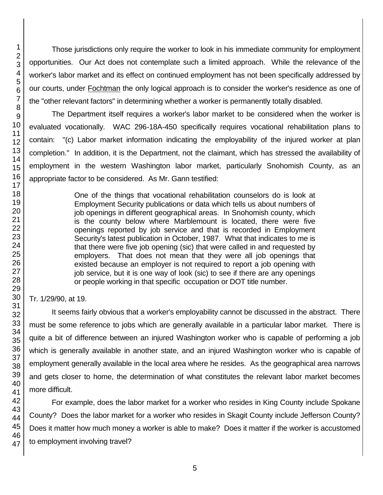Those jurisdictions only require the worker to look in his immediate community for employment opportunities. Our Act does not contemplate such a limited approach. While the relevance of the worker's labor market and its effect on continued employment has not been specifically addressed by our courts, under Fochtman the only logical approach is to consider the worker's residence as one of the "other relevant factors" in determining whether a worker is permanently totally disabled.

The Department itself requires a worker's labor market to be considered when the worker is evaluated vocationally. WAC 296-18A-450 specifically requires vocational rehabilitation plans to contain: "(c) Labor market information indicating the employability of the injured worker at plan completion." In addition, it is the Department, not the claimant, which has stressed the availability of employment in the western Washington labor market, particularly Snohomish County, as an appropriate factor to be considered. As Mr. Gann testified:

> One of the things that vocational rehabilitation counselors do is look at Employment Security publications or data which tells us about numbers of job openings in different geographical areas. In Snohomish county, which is the county below where Marblemount is located, there were five openings reported by job service and that is recorded in Employment Security's latest publication in October, 1987. What that indicates to me is that there were five job opening (sic) that were called in and requested by employers. That does not mean that they were all job openings that existed because an employer is not required to report a job opening with job service, but it is one way of look (sic) to see if there are any openings or people working in that specific occupation or DOT title number.

Tr. 1/29/90, at 19.

It seems fairly obvious that a worker's employability cannot be discussed in the abstract. There must be some reference to jobs which are generally available in a particular labor market. There is quite a bit of difference between an injured Washington worker who is capable of performing a job which is generally available in another state, and an injured Washington worker who is capable of employment generally available in the local area where he resides. As the geographical area narrows and gets closer to home, the determination of what constitutes the relevant labor market becomes more difficult.

For example, does the labor market for a worker who resides in King County include Spokane County? Does the labor market for a worker who resides in Skagit County include Jefferson County? Does it matter how much money a worker is able to make? Does it matter if the worker is accustomed to employment involving travel?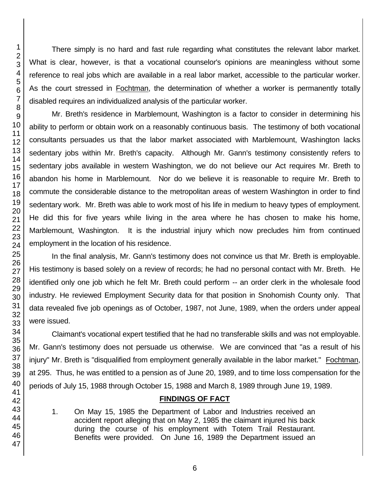There simply is no hard and fast rule regarding what constitutes the relevant labor market. What is clear, however, is that a vocational counselor's opinions are meaningless without some reference to real jobs which are available in a real labor market, accessible to the particular worker. As the court stressed in Fochtman, the determination of whether a worker is permanently totally disabled requires an individualized analysis of the particular worker.

Mr. Breth's residence in Marblemount, Washington is a factor to consider in determining his ability to perform or obtain work on a reasonably continuous basis. The testimony of both vocational consultants persuades us that the labor market associated with Marblemount, Washington lacks sedentary jobs within Mr. Breth's capacity. Although Mr. Gann's testimony consistently refers to sedentary jobs available in western Washington, we do not believe our Act requires Mr. Breth to abandon his home in Marblemount. Nor do we believe it is reasonable to require Mr. Breth to commute the considerable distance to the metropolitan areas of western Washington in order to find sedentary work. Mr. Breth was able to work most of his life in medium to heavy types of employment. He did this for five years while living in the area where he has chosen to make his home, Marblemount, Washington. It is the industrial injury which now precludes him from continued employment in the location of his residence.

In the final analysis, Mr. Gann's testimony does not convince us that Mr. Breth is employable. His testimony is based solely on a review of records; he had no personal contact with Mr. Breth. He identified only one job which he felt Mr. Breth could perform -- an order clerk in the wholesale food industry. He reviewed Employment Security data for that position in Snohomish County only. That data revealed five job openings as of October, 1987, not June, 1989, when the orders under appeal were issued.

Claimant's vocational expert testified that he had no transferable skills and was not employable. Mr. Gann's testimony does not persuade us otherwise. We are convinced that "as a result of his injury" Mr. Breth is "disqualified from employment generally available in the labor market." Fochtman, at 295. Thus, he was entitled to a pension as of June 20, 1989, and to time loss compensation for the periods of July 15, 1988 through October 15, 1988 and March 8, 1989 through June 19, 1989.

# **FINDINGS OF FACT**

1. On May 15, 1985 the Department of Labor and Industries received an accident report alleging that on May 2, 1985 the claimant injured his back during the course of his employment with Totem Trail Restaurant. Benefits were provided. On June 16, 1989 the Department issued an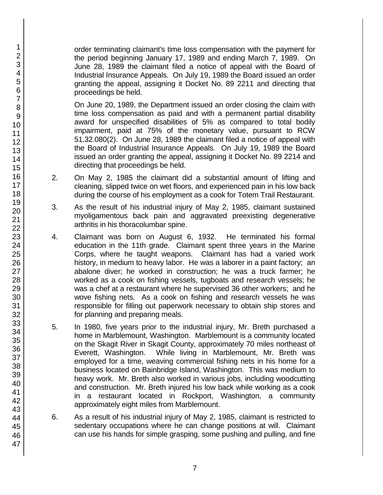order terminating claimant's time loss compensation with the payment for the period beginning January 17, 1989 and ending March 7, 1989. On June 28, 1989 the claimant filed a notice of appeal with the Board of Industrial Insurance Appeals. On July 19, 1989 the Board issued an order granting the appeal, assigning it Docket No. 89 2211 and directing that proceedings be held.

On June 20, 1989, the Department issued an order closing the claim with time loss compensation as paid and with a permanent partial disability award for unspecified disabilities of 5% as compared to total bodily impairment, paid at 75% of the monetary value, pursuant to RCW 51.32.080(2). On June 28, 1989 the claimant filed a notice of appeal with the Board of Industrial Insurance Appeals. On July 19, 1989 the Board issued an order granting the appeal, assigning it Docket No. 89 2214 and directing that proceedings be held.

- 2. On May 2, 1985 the claimant did a substantial amount of lifting and cleaning, slipped twice on wet floors, and experienced pain in his low back during the course of his employment as a cook for Totem Trail Restaurant.
- 3. As the result of his industrial injury of May 2, 1985, claimant sustained myoligamentous back pain and aggravated preexisting degenerative arthritis in his thoracolumbar spine.
- 4. Claimant was born on August 6, 1932. He terminated his formal education in the 11th grade. Claimant spent three years in the Marine Corps, where he taught weapons. Claimant has had a varied work history, in medium to heavy labor. He was a laborer in a paint factory; an abalone diver; he worked in construction; he was a truck farmer; he worked as a cook on fishing vessels, tugboats and research vessels; he was a chef at a restaurant where he supervised 36 other workers; and he wove fishing nets. As a cook on fishing and research vessels he was responsible for filling out paperwork necessary to obtain ship stores and for planning and preparing meals.
- 5. In 1980, five years prior to the industrial injury, Mr. Breth purchased a home in Marblemount, Washington. Marblemount is a community located on the Skagit River in Skagit County, approximately 70 miles northeast of Everett, Washington. While living in Marblemount, Mr. Breth was employed for a time, weaving commercial fishing nets in his home for a business located on Bainbridge Island, Washington. This was medium to heavy work. Mr. Breth also worked in various jobs, including woodcutting and construction. Mr. Breth injured his low back while working as a cook in a restaurant located in Rockport, Washington, a community approximately eight miles from Marblemount.
- 6. As a result of his industrial injury of May 2, 1985, claimant is restricted to sedentary occupations where he can change positions at will. Claimant can use his hands for simple grasping, some pushing and pulling, and fine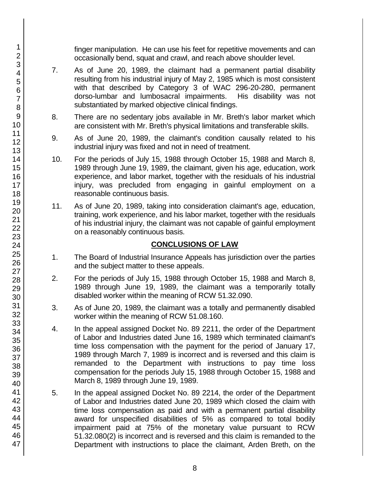finger manipulation. He can use his feet for repetitive movements and can occasionally bend, squat and crawl, and reach above shoulder level.

- 7. As of June 20, 1989, the claimant had a permanent partial disability resulting from his industrial injury of May 2, 1985 which is most consistent with that described by Category 3 of WAC 296-20-280, permanent dorso-lumbar and lumbosacral impairments. His disability was not substantiated by marked objective clinical findings.
- 8. There are no sedentary jobs available in Mr. Breth's labor market which are consistent with Mr. Breth's physical limitations and transferable skills.
- 9. As of June 20, 1989, the claimant's condition causally related to his industrial injury was fixed and not in need of treatment.
- 10. For the periods of July 15, 1988 through October 15, 1988 and March 8, 1989 through June 19, 1989, the claimant, given his age, education, work experience, and labor market, together with the residuals of his industrial injury, was precluded from engaging in gainful employment on a reasonable continuous basis.
- 11. As of June 20, 1989, taking into consideration claimant's age, education, training, work experience, and his labor market, together with the residuals of his industrial injury, the claimant was not capable of gainful employment on a reasonably continuous basis.

## **CONCLUSIONS OF LAW**

- 1. The Board of Industrial Insurance Appeals has jurisdiction over the parties and the subject matter to these appeals.
- 2. For the periods of July 15, 1988 through October 15, 1988 and March 8, 1989 through June 19, 1989, the claimant was a temporarily totally disabled worker within the meaning of RCW 51.32.090.
- 3. As of June 20, 1989, the claimant was a totally and permanently disabled worker within the meaning of RCW 51.08.160.
- 4. In the appeal assigned Docket No. 89 2211, the order of the Department of Labor and Industries dated June 16, 1989 which terminated claimant's time loss compensation with the payment for the period of January 17, 1989 through March 7, 1989 is incorrect and is reversed and this claim is remanded to the Department with instructions to pay time loss compensation for the periods July 15, 1988 through October 15, 1988 and March 8, 1989 through June 19, 1989.
- 5. In the appeal assigned Docket No. 89 2214, the order of the Department of Labor and Industries dated June 20, 1989 which closed the claim with time loss compensation as paid and with a permanent partial disability award for unspecified disabilities of 5% as compared to total bodily impairment paid at 75% of the monetary value pursuant to RCW 51.32.080(2) is incorrect and is reversed and this claim is remanded to the Department with instructions to place the claimant, Arden Breth, on the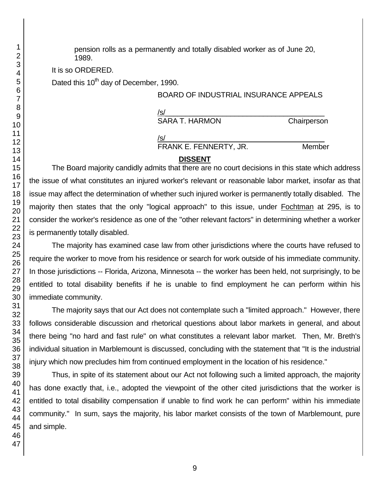pension rolls as a permanently and totally disabled worker as of June 20, 1989.

It is so ORDERED.

Dated this 10<sup>th</sup> day of December, 1990.

#### BOARD OF INDUSTRIAL INSURANCE APPEALS

/s/  $\,$ SARA T. HARMON Chairperson

/s/  $\,$ FRANK E. FENNERTY, JR. Member

## **DISSENT**

The Board majority candidly admits that there are no court decisions in this state which address the issue of what constitutes an injured worker's relevant or reasonable labor market, insofar as that issue may affect the determination of whether such injured worker is permanently totally disabled. The majority then states that the only "logical approach" to this issue, under Fochtman at 295, is to consider the worker's residence as one of the "other relevant factors" in determining whether a worker is permanently totally disabled.

The majority has examined case law from other jurisdictions where the courts have refused to require the worker to move from his residence or search for work outside of his immediate community. In those jurisdictions -- Florida, Arizona, Minnesota -- the worker has been held, not surprisingly, to be entitled to total disability benefits if he is unable to find employment he can perform within his immediate community.

The majority says that our Act does not contemplate such a "limited approach." However, there follows considerable discussion and rhetorical questions about labor markets in general, and about there being "no hard and fast rule" on what constitutes a relevant labor market. Then, Mr. Breth's individual situation in Marblemount is discussed, concluding with the statement that "It is the industrial injury which now precludes him from continued employment in the location of his residence."

Thus, in spite of its statement about our Act not following such a limited approach, the majority has done exactly that, i.e., adopted the viewpoint of the other cited jurisdictions that the worker is entitled to total disability compensation if unable to find work he can perform" within his immediate community." In sum, says the majority, his labor market consists of the town of Marblemount, pure and simple.